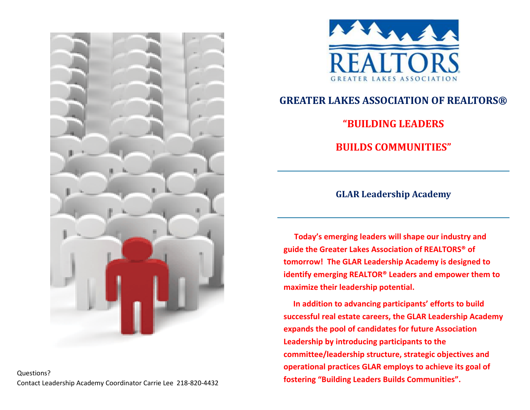

Questions? Contact Leadership Academy Coordinator Carrie Lee 218-820-4432



# **GREATER LAKES ASSOCIATION OF REALTORS®**

**"BUILDING LEADERS** 

**BUILDS COMMUNITIES"** 

## **GLAR Leadership Academy**

 **Today's emerging leaders will shape our industry and guide the Greater Lakes Association of REALTORS® of tomorrow! The GLAR Leadership Academy is designed to identify emerging REALTOR® Leaders and empower them to maximize their leadership potential.**

 **In addition to advancing participants' efforts to build successful real estate careers, the GLAR Leadership Academy expands the pool of candidates for future Association Leadership by introducing participants to the committee/leadership structure, strategic objectives and operational practices GLAR employs to achieve its goal of fostering "Building Leaders Builds Communities".**